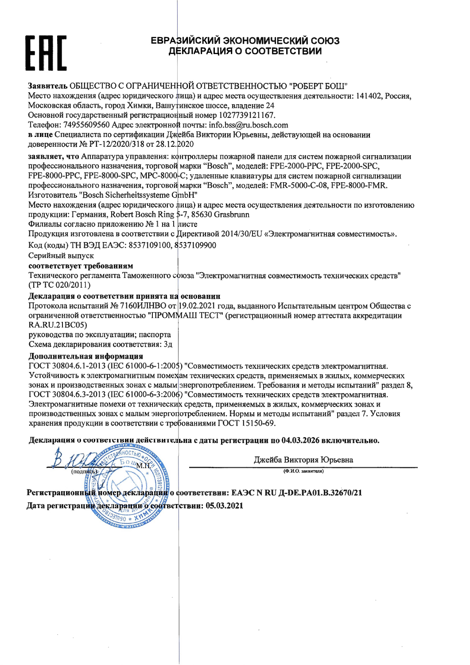## ЕВРАЗИЙСКИЙ ЭКОНОМИЧЕСКИЙ СОЮЗ ДЕКЛАРАЦИЯ О СООТВЕТСТВИИ

Заявитель ОБШЕСТВО С ОГРАНИЧЕННОЙ ОТВЕТСТВЕННОСТЬЮ "РОБЕРТ БОШ"

Место нахождения (адрес юридического лица) и адрес места осуществления деятельности: 141402. Россия. Московская область, город Химки, Вашутинское шоссе, владение 24

Основной государственный регистрационный номер 1027739121167.

Телефон: 74955609560 Адрес электронной почты: info.bss@ru.bosch.com

в лице Специалиста по сертификации Джейба Виктории Юрьевны, действующей на основании поверенности № РТ-12/2020/318 от 28.12.2020

заявляет, что Аппаратура управления: контроллеры пожарной панели для систем пожарной сигнализации профессионального назначения, торговой марки "Bosch", моделей: FPE-2000-PPC, FPE-2000-SPC, FPE-8000-PPC, FPE-8000-SPC, MPC-8000-C; удаленные клавиатуры для систем пожарной сигнализации

профессионального назначения, торговой марки "Bosch", моделей: FMR-5000-C-08, FPE-8000-FMR. Изготовитель "Bosch Sicherheitssysteme GmbH"

Место нахождения (адрес юридического лица) и адрес места осуществления деятельности по изготовлению продукции: Германия, Robert Bosch Ring 5-7, 85630 Grasbrunn

Филиалы согласно приложению № 1 на 1 листе

Продукция изготовлена в соответствии с Директивой 2014/30/EU «Электромагнитная совместимость».

Код (коды) ТН ВЭД ЕАЭС: 8537109100, 8537109900

Серийный выпуск

### соответствует требованиям

Технического регламента Таможенного союза "Электромагнитная совместимость технических средств" (TP TC 020/2011)

### Декларация о соответствии принята на основанин

**BOUN.N.** 

**THREE CAR** 

Протокола испытаний № 7160ИЛНВО от 19.02.2021 года, выданного Испытательным центром Общества с ограниченной ответственностью "ПРОММАШ ТЕСТ" (регистрационный номер аттестата аккредитации RA.RU.21BC05)

руководства по эксплуатации; паспорта

Схема декларирования соответствия: Зд

#### Дополнительная информация

(подписы)

ГОСТ 30804.6.1-2013 (IEC 61000-6-1:2005) "Совместимость технических средств электромагнитная. Устойчивость к электромагнитным помехам технических средств, применяемых в жилых, коммерческих зонах и производственных зонах с малым энергопотреблением. Требования и методы испытаний" раздел 8, ГОСТ 30804.6.3-2013 (IEC 61000-6-3:2006) "Совместимость технических средств электромагнитная. Электромагнитные помехи от технических средств, применяемых в жилых, коммерческих зонах и производственных зонах с малым энергопотреблением. Нормы и методы испытаний" раздел 7. Условия хранения продукции в соответствии с требованиями ГОСТ 15150-69.

Декларация о соответствии действительна с даты регистрации по 04.03.2026 включительно.

Джейба Виктория Юрьевна

 $(Φ. M.O.$  заявителя)

Регистрационный номер декларации о соответствии: ЕАЭС N RU Д-DE.PA01.B.32670/21 Дата регистрации декларации о соответствии: 05.03.2021